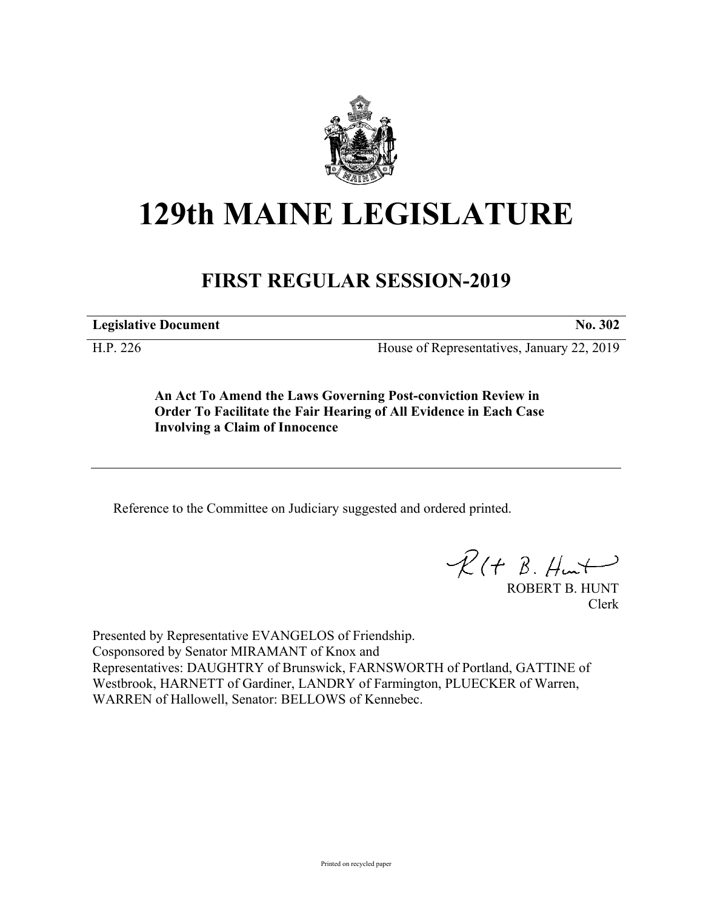

# **129th MAINE LEGISLATURE**

## **FIRST REGULAR SESSION-2019**

**Legislative Document No. 302**

H.P. 226 House of Representatives, January 22, 2019

**An Act To Amend the Laws Governing Post-conviction Review in Order To Facilitate the Fair Hearing of All Evidence in Each Case Involving a Claim of Innocence**

Reference to the Committee on Judiciary suggested and ordered printed.

 $\mathcal{R}(t \; \mathcal{B}, \#m)$ 

ROBERT B. HUNT Clerk

Presented by Representative EVANGELOS of Friendship. Cosponsored by Senator MIRAMANT of Knox and Representatives: DAUGHTRY of Brunswick, FARNSWORTH of Portland, GATTINE of Westbrook, HARNETT of Gardiner, LANDRY of Farmington, PLUECKER of Warren, WARREN of Hallowell, Senator: BELLOWS of Kennebec.